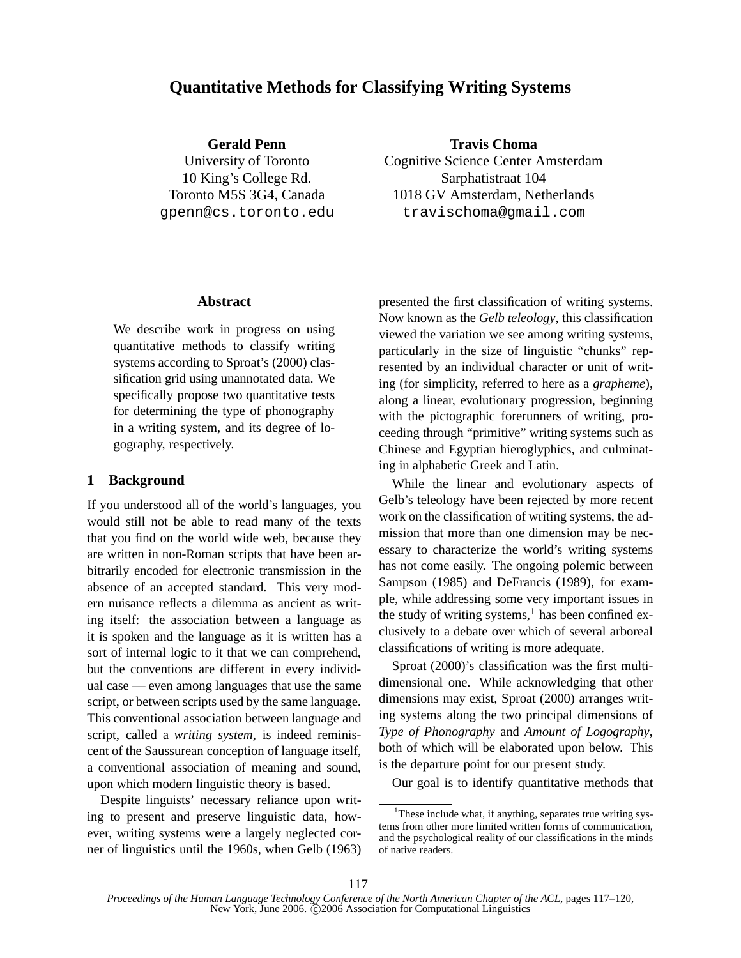# **Quantitative Methods for Classifying Writing Systems**

**Gerald Penn**

University of Toronto 10 King's College Rd. Toronto M5S 3G4, Canada gpenn@cs.toronto.edu

**Travis Choma** Cognitive Science Center Amsterdam Sarphatistraat 104 1018 GV Amsterdam, Netherlands travischoma@gmail.com

### **Abstract**

We describe work in progress on using quantitative methods to classify writing systems according to Sproat's (2000) classification grid using unannotated data. We specifically propose two quantitative tests for determining the type of phonography in a writing system, and its degree of logography, respectively.

## **1 Background**

If you understood all of the world's languages, you would still not be able to read many of the texts that you find on the world wide web, because they are written in non-Roman scripts that have been arbitrarily encoded for electronic transmission in the absence of an accepted standard. This very modern nuisance reflects a dilemma as ancient as writing itself: the association between a language as it is spoken and the language as it is written has a sort of internal logic to it that we can comprehend, but the conventions are different in every individual case — even among languages that use the same script, or between scripts used by the same language. This conventional association between language and script, called a *writing system*, is indeed reminiscent of the Saussurean conception of language itself, a conventional association of meaning and sound, upon which modern linguistic theory is based.

Despite linguists' necessary reliance upon writing to present and preserve linguistic data, however, writing systems were a largely neglected corner of linguistics until the 1960s, when Gelb (1963) presented the first classification of writing systems. Now known as the *Gelb teleology*, this classification viewed the variation we see among writing systems, particularly in the size of linguistic "chunks" represented by an individual character or unit of writing (for simplicity, referred to here as a *grapheme*), along a linear, evolutionary progression, beginning with the pictographic forerunners of writing, proceeding through "primitive" writing systems such as Chinese and Egyptian hieroglyphics, and culminating in alphabetic Greek and Latin.

While the linear and evolutionary aspects of Gelb's teleology have been rejected by more recent work on the classification of writing systems, the admission that more than one dimension may be necessary to characterize the world's writing systems has not come easily. The ongoing polemic between Sampson (1985) and DeFrancis (1989), for example, while addressing some very important issues in the study of writing systems, $<sup>1</sup>$  has been confined ex-</sup> clusively to a debate over which of several arboreal classifications of writing is more adequate.

Sproat (2000)'s classification was the first multidimensional one. While acknowledging that other dimensions may exist, Sproat (2000) arranges writing systems along the two principal dimensions of *Type of Phonography* and *Amount of Logography*, both of which will be elaborated upon below. This is the departure point for our present study.

Our goal is to identify quantitative methods that

<sup>&</sup>lt;sup>1</sup>These include what, if anything, separates true writing systems from other more limited written forms of communication, and the psychological reality of our classifications in the minds of native readers.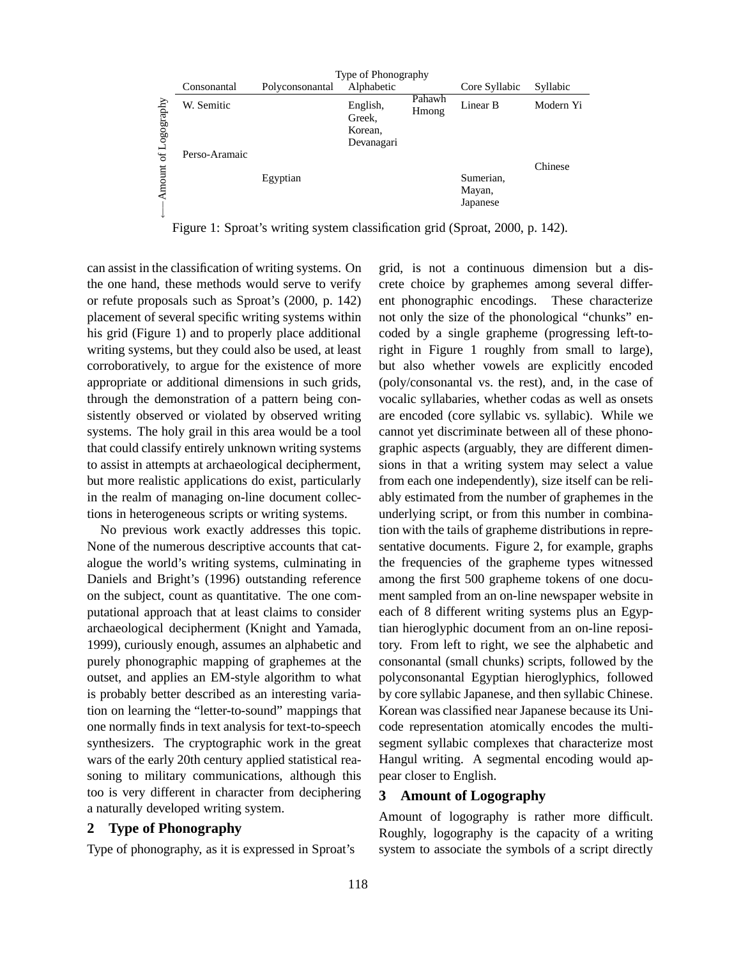

Figure 1: Sproat's writing system classification grid (Sproat, 2000, p. 142).

can assist in the classification of writing systems. On the one hand, these methods would serve to verify or refute proposals such as Sproat's (2000, p. 142) placement of several specific writing systems within his grid (Figure 1) and to properly place additional writing systems, but they could also be used, at least corroboratively, to argue for the existence of more appropriate or additional dimensions in such grids, through the demonstration of a pattern being consistently observed or violated by observed writing systems. The holy grail in this area would be a tool that could classify entirely unknown writing systems to assist in attempts at archaeological decipherment, but more realistic applications do exist, particularly in the realm of managing on-line document collections in heterogeneous scripts or writing systems.

No previous work exactly addresses this topic. None of the numerous descriptive accounts that catalogue the world's writing systems, culminating in Daniels and Bright's (1996) outstanding reference on the subject, count as quantitative. The one computational approach that at least claims to consider archaeological decipherment (Knight and Yamada, 1999), curiously enough, assumes an alphabetic and purely phonographic mapping of graphemes at the outset, and applies an EM-style algorithm to what is probably better described as an interesting variation on learning the "letter-to-sound" mappings that one normally finds in text analysis for text-to-speech synthesizers. The cryptographic work in the great wars of the early 20th century applied statistical reasoning to military communications, although this too is very different in character from deciphering a naturally developed writing system.

### **2 Type of Phonography**

Type of phonography, as it is expressed in Sproat's

grid, is not a continuous dimension but a discrete choice by graphemes among several different phonographic encodings. These characterize not only the size of the phonological "chunks" encoded by a single grapheme (progressing left-toright in Figure 1 roughly from small to large), but also whether vowels are explicitly encoded (poly/consonantal vs. the rest), and, in the case of vocalic syllabaries, whether codas as well as onsets are encoded (core syllabic vs. syllabic). While we cannot yet discriminate between all of these phonographic aspects (arguably, they are different dimensions in that a writing system may select a value from each one independently), size itself can be reliably estimated from the number of graphemes in the underlying script, or from this number in combination with the tails of grapheme distributions in representative documents. Figure 2, for example, graphs the frequencies of the grapheme types witnessed among the first 500 grapheme tokens of one document sampled from an on-line newspaper website in each of 8 different writing systems plus an Egyptian hieroglyphic document from an on-line repository. From left to right, we see the alphabetic and consonantal (small chunks) scripts, followed by the polyconsonantal Egyptian hieroglyphics, followed by core syllabic Japanese, and then syllabic Chinese. Korean was classified near Japanese because its Unicode representation atomically encodes the multisegment syllabic complexes that characterize most Hangul writing. A segmental encoding would appear closer to English.

#### **3 Amount of Logography**

Amount of logography is rather more difficult. Roughly, logography is the capacity of a writing system to associate the symbols of a script directly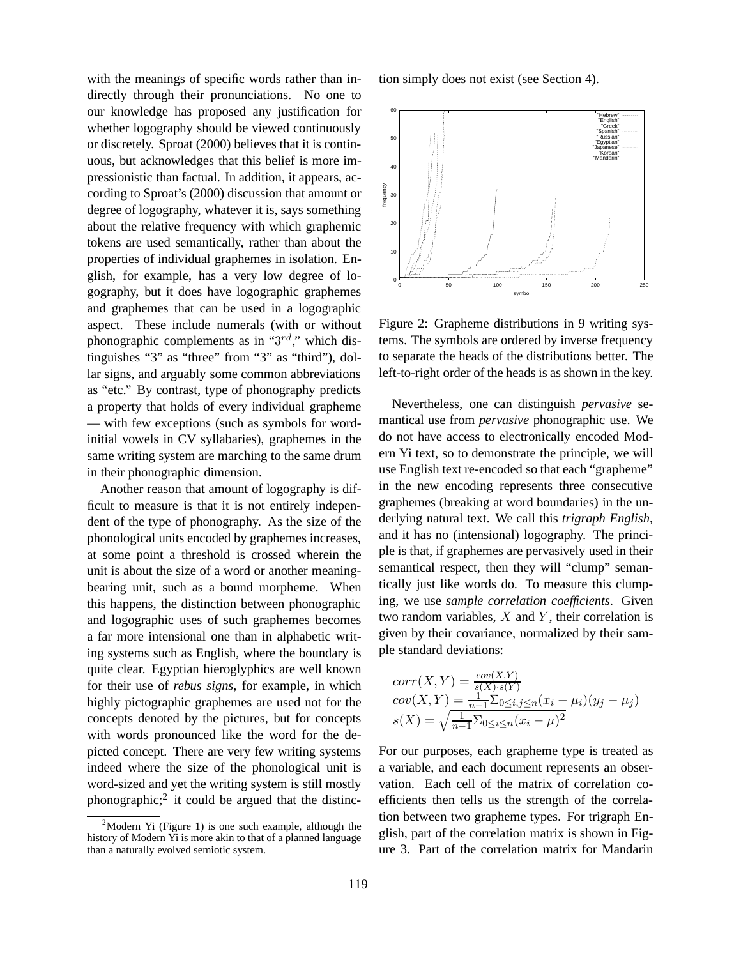with the meanings of specific words rather than indirectly through their pronunciations. No one to our knowledge has proposed any justification for whether logography should be viewed continuously or discretely. Sproat (2000) believes that it is continuous, but acknowledges that this belief is more impressionistic than factual. In addition, it appears, according to Sproat's (2000) discussion that amount or degree of logography, whatever it is, says something about the relative frequency with which graphemic tokens are used semantically, rather than about the properties of individual graphemes in isolation. English, for example, has a very low degree of logography, but it does have logographic graphemes and graphemes that can be used in a logographic aspect. These include numerals (with or without phonographic complements as in " $3^{rd}$ ," which distinguishes "3" as "three" from "3" as "third"), dollar signs, and arguably some common abbreviations as "etc." By contrast, type of phonography predicts a property that holds of every individual grapheme — with few exceptions (such as symbols for wordinitial vowels in CV syllabaries), graphemes in the same writing system are marching to the same drum in their phonographic dimension.

Another reason that amount of logography is difficult to measure is that it is not entirely independent of the type of phonography. As the size of the phonological units encoded by graphemes increases, at some point a threshold is crossed wherein the unit is about the size of a word or another meaningbearing unit, such as a bound morpheme. When this happens, the distinction between phonographic and logographic uses of such graphemes becomes a far more intensional one than in alphabetic writing systems such as English, where the boundary is quite clear. Egyptian hieroglyphics are well known for their use of *rebus signs*, for example, in which highly pictographic graphemes are used not for the concepts denoted by the pictures, but for concepts with words pronounced like the word for the depicted concept. There are very few writing systems indeed where the size of the phonological unit is word-sized and yet the writing system is still mostly phonographic;<sup>2</sup> it could be argued that the distinc-

 $2^2$ Modern Yi (Figure 1) is one such example, although the history of Modern Yi is more akin to that of a planned language than a naturally evolved semiotic system.

tion simply does not exist (see Section 4).



Figure 2: Grapheme distributions in 9 writing systems. The symbols are ordered by inverse frequency to separate the heads of the distributions better. The left-to-right order of the heads is as shown in the key.

Nevertheless, one can distinguish *pervasive* semantical use from *pervasive* phonographic use. We do not have access to electronically encoded Modern Yi text, so to demonstrate the principle, we will use English text re-encoded so that each "grapheme" in the new encoding represents three consecutive graphemes (breaking at word boundaries) in the underlying natural text. We call this *trigraph English*, and it has no (intensional) logography. The principle is that, if graphemes are pervasively used in their semantical respect, then they will "clump" semantically just like words do. To measure this clumping, we use *sample correlation coefficients*. Given two random variables,  $X$  and  $Y$ , their correlation is given by their covariance, normalized by their sample standard deviations:

$$
corr(X, Y) = \frac{cov(X, Y)}{s(X) \cdot s(Y)}
$$
  
\n
$$
cov(X, Y) = \frac{1}{n-1} \sum_{0 \le i, j \le n} (x_i - \mu_i)(y_j - \mu_j)
$$
  
\n
$$
s(X) = \sqrt{\frac{1}{n-1} \sum_{0 \le i \le n} (x_i - \mu)^2}
$$

For our purposes, each grapheme type is treated as a variable, and each document represents an observation. Each cell of the matrix of correlation coefficients then tells us the strength of the correlation between two grapheme types. For trigraph English, part of the correlation matrix is shown in Figure 3. Part of the correlation matrix for Mandarin